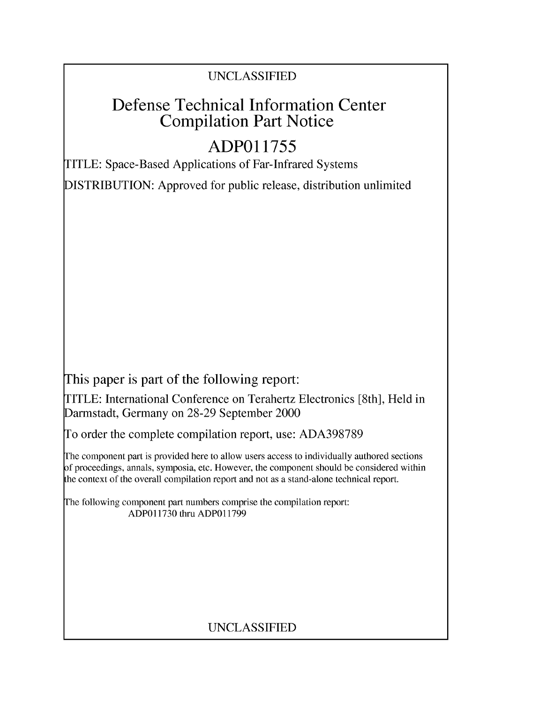### UNCLASSIFIED

# Defense Technical Information Center Compilation Part Notice

# **ADPO1 1755**

TITLE: Space-Based Applications of Far-Infrared Systems

DISTRIBUTION: Approved for public release, distribution unlimited

This paper is part of the following report:

TITLE: International Conference on Terahertz Electronics [8th], Held in Darmstadt, Germany on 28-29 September 2000

To order the complete compilation report, use: ADA398789

The component part is provided here to allow users access to individually authored sections f proceedings, annals, symposia, etc. However, the component should be considered within [he context of the overall compilation report and not as a stand-alone technical report.

The following component part numbers comprise the compilation report: ADPO11730 thru ADP011799

## UNCLASSIFIED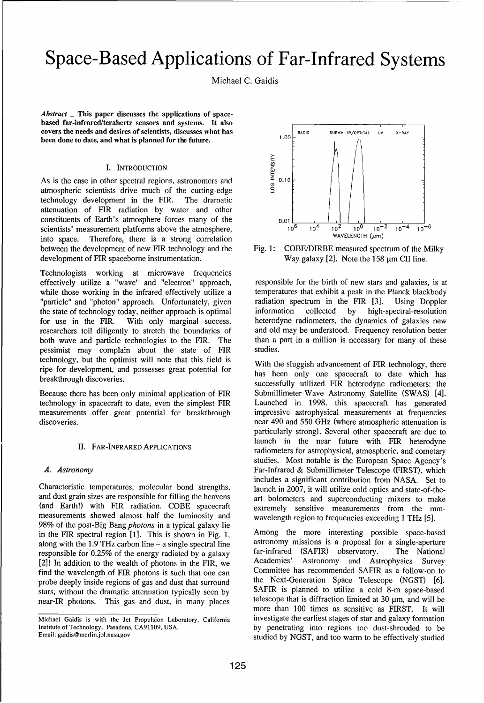# Space-Based Applications of Far-Infrared Systems

Michael C. Gaidis

*Abstract* **-** This paper discusses the applications of spacebased far-infrared/terahertz sensors and systems. It also **covers the needs and desires of scientists, discusses what has 1.00 \div 1.00 \div 1.00 \div 1.00 \times 1.00 \times 1.00 \times 1.00 \times 1.00 \times 1.00 \times 1.00 \times 1.00 \times 1.00 \times 1.00 \times 1.00 \times 1.00 \times 1.00 \times 1.00 \times 1.00 \times 1.00 \times 1.00 \times 1.00 \times 1.00 \times 1.** been done to date, and what is planned for the future.

**I.** INTRODUCTION<br> **EXECUTE:**<br>
ther spectral regions, astronomers and<br>
ists drive much of the cutting-edge As is the case in other spectral regions, astronomers and  $\leq 0.10$ atmospheric scientists drive much of the cutting-edge technology development in the FIR. The dramatic attenuation of FIR radiation by water and other constituents of Earth's atmosphere forces many of the  $\begin{array}{c} 0.01 \text{ cm} \\ 0.01 \text{ cm} \end{array}$ scientists' measurement platforms above the atmosphere,<br>
into annoyal Theoretics, there is a strong correlation<br>
waveLENGTH ( $\mu$ m) into space. Therefore, there is a strong correlation between the development of new FIR technology and the Fig. 1: COBE/DIRBE measured spectrum of the Milky development of FIR spaceborne instrumentation. Way galaxy  $[2]$ . Note the 158  $\mu$ m CII line.

Technologists working at microwave frequencies effectively utilize a "wave" and "electron" approach, responsible for the birth of new stars and galaxies, is at while those working in the infrared effectively utilize a temperatures that exhibit a peak in the Planck blackbody "particle" and "photon" approach. Unfortunately, given radiation spectrum in the FIR [3]. Using Doppler the state of technology today, neither approach is optimal information collected by high-spectral-resolution for use in the FIR. With only marginal success, heterodyne radiometers, the dynamics of galaxies new researchers toil diligently to stretch the boundaries of and old may be understood. Frequency resolution better both wave and particle technologies to the FIR. The than a part in a million is necessary for many of these pessimist may complain about the state of FIR studies. technology, but the optimist will note that this field is With the sluggish advancement of FIR technology, there ripe for development, and possesses great potential for has been only one spacecraft to date which has been only one spacecraft to date which has

technology in spacecraft to date, even the simplest FIR Launched in 1998, this spacecraft has generated measurements offer great potential for breakthrough impressive astrophysical measurements at frequencies discoveries. **near 490 and 550 GHz** (where atmospheric attenuation is

Characteristic temperatures, molecular bond strengths, launch in 2007, it will utilize cold optics and state-of-theand dust grain sizes are responsible for filling the heavens art bolometers and superconducting mixers to make (and Earth!) with FIR radiation. COBE spacecraft extremely sensitive measurements from the mmmeasurements showed almost half the luminosity and wavelength region to frequencies exceeding 1 THz [5]. 98% of the post-Big Bang *photons* in a typical galaxy lie in the FIR spectral region [1]. This is shown in Fig. 1, Among the more interesting possible space-based<br>along with the 1.9 THz carbon line – a single spectral line astronomy missions is a proposal for a single-aperture along with the 1.9 THz carbon line  $-$  a single spectral line responsible for 0.25% of the energy radiated by a galaxy far-infrared (SAFIR) observatory. The National [2]! In addition to the wealth of photons in the FIR, we Academies' Astronomy and Astrophysics Survey find the wavelength of FIR photons is such that one can<br>probe deeply inside regions of gas and dust that surround<br>the Next-Generation Space Telescope (NGST) [6]. probe deeply inside regions of gas and dust that surround stars, without the dramatic attenuation typically seen by SAFIR is planned to utilize a cold 8-m space-based near-IR photons. This gas and dust, in many places telescope that is diffraction limited at 30 µm, and will be



breakthrough discoveries.<br>successfully utilized FIR heterodyne radiometers: the Because there has been only minimal application of FIR Submillimeter-Wave Astronomy Satellite (SWAS) [4]. particularly strong). Several other spacecraft are due to launch in the near future with FIR heterodyne II. FAR-INFRARED APPLICATIONS radiometers for astrophysical, atmospheric, and cometary studies. Most notable is the European Space Agency's *A. Astronomy* Far-Infrared & Submillimeter Telescope (FIRST), which includes a significant contribution from NASA. Set to

more than 100 times as sensitive as FIRST. It will Michael Gaidis is with the Jet Propulsion Laboratory, California investigate the earliest stages of star and galaxy formation Institute of Technology, Pasadena, CA91109, USA. by penetrating into regions too dust-shrouded to be<br>Email: gaidis@merlin.jpl.nasa.gov studied to be effectively studied studied by NGST, and too warm to be effectively studied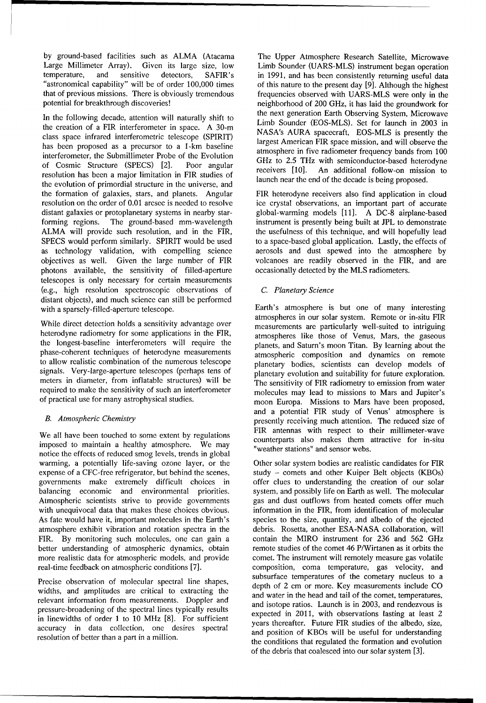by ground-based facilities such as ALMA (Atacama The Upper Atmosphere Research Satellite, Microwave Large Millimeter Array). Given its large size, low Limb Sounder (UARS-MLS) instrument began operation temperature, and sensitive detectors, SAFIR's in 1991, and has been consistently returning useful data "astronomical capability" will be of order 100,000 times of this nature to the present day [9]. Although the highest that of previous missions. There is obviously tremendous frequencies observed with UARS-MLS were only in the

the creation of a FIR interferometer in space. A 30-m<br>elegance interferometric telescope (SBIDIT) NASA's AURA spacecraft, EOS-MLS is presently the class space infrared interferometric telescope (SPIRIT) largest American FIR space mission, and will observe the has been proposed as a precursor to a 1-km baseline atmosphere in five radiometer frequency bands from 100 interferences the Submillimeter Prebe of the Euclistics interferometer, the Submillimeter Probe of the Evolution interferometer, the Submillimeter Probe of the Evolution<br>of Cosmic Structure (SPECS) [2]. Poor angular GHz to 2.5 THz with semiconductor-based heterodyne of Cosmic Structure (SPECS) [2]. Poor angular<br>resolution has been a major limitation in FIR studies of luchiner the end of the decade is being proposed. the evolution of primordial structure in the universe, and the formation of galaxies, stars, and planets. Angular FIR heterodyne receivers also find application in cloud resolution on the order of 0.01 arcsec is needed to resolve ice crystal observations, an important part of accurate distant galaxies or protoplanetary systems in nearby star-<br>global-warming models [11]. A DC-8 airplane-based forming regions. The ground-based mm-wavelength instrument is presently being built at JPL to demonstrate ALMA will provide such resolution, and in the FIR, the usefulness of this technique, and will hopefully lead SPECS would perform similarly. SPIRIT would be used to a space-based global application. Lastly, the effects of as technology validation, with compelling science aerosols and dust spewed into the atmosphere by objectives as well. Given the large number of FIR volcanoes are readily observed in the FIR, and are photons available, the sensitivity of filled-aperture occasionally detected by the MLS radiometers. telescopes is only necessary for certain measurements (e.g., high resolution spectroscopic observations of *C. Planetary Science* distant objects), and much science can still be performed with a sparsely-filled-aperture telescope. Earth's atmosphere is but one of many interesting

While direct detection holds a sensitivity advantage over<br>measurements are particularly well-suited to intriguing heterodyne radiometry for some applications in the FIR, atmospheres like those of Venus, Mars, the gaseous the longest-baseline interferometers will require the planets, and Saturn's moon Titan. By learning about the phase-coherent techniques of heterodyne measurements atmospheric composition and dynamics on remote to allow realistic combination of the numerous telescope planetary bodies, scientists can develop models of signals. Very-large-aperture telescopes (perhaps tens of planetary evolution and suitability for future exploration. meters in diameter, from inflatable structures) will be The sensitivity of FIR radiometry to emission from water required to make the sensitivity of such an interferometer molecules may lead to missions to Mars and Jupiter's

We all have been touched to some extent by regulations counterparts also makes them attractive for in-situ imposed to maintain a healthy atmosphere. We may "weather stations" and sensor webs. notice the effects of reduced smog levels, trends in global warming, a potentially life-saving ozone layer, or the Other solar system bodies are realistic candidates for FIR expense of a CFC-free refrigerator, but behind the scenes, study - comets and other Kuiper Belt objects (KBOs) governments make extremely difficult choices in offer clues to understanding the creation of our solar balancing economic and environmental priorities. system, and possibly life on Earth as well. The molecular Atmospheric scientists strive to provide governments gas and dust outflows from heated comets offer much with unequivocal data that makes these choices obvious. information in the FIR, from identification of molecular As fate would have it, important molecules in the Earth's species to the size, quantity, and albedo of the ejected atmosphere exhibit vibration and rotation spectra in the debris. Rosetta, another ESA-NASA collaboration, will FIR. By monitoring such molecules, one can gain a contain the MIRO instrument for 236 and 562 GHz better understanding of atmospheric dynamics, obtain remote studies of the comet 46 P/Wirtanen as it orbits the more realistic data for atmospheric models, and provide comet. The instrument will remotely measure gas volatile real-time feedback on atmospheric conditions [7]. composition, coma temperature, gas velocity, and

widths, and amplitudes are critical to extracting the and water in the head and tail of the comet, temperatures, relevant information from measurements. Doppler and and water in the head and tail of the comet, temperatures,<br>and isotope ratios. Launch is in 2003, and rendezvous is pressure-broadening of the spectral lines typically results expected in 2011, with observations lasting at least 2<br>in linewidths of order 1 to 10 MHz [8]. For sufficient expected in 2011, with observations lasting at least

potential for breakthrough discoveries! https://www.meighborhood of 200 GHz, it has laid the groundwork for In the following decade, attention will naturally shift to the next generation Earth Observing System, Microwave In the sounder (EOS-MLS). Set for launch in 2003 in

atmospheres in our solar system. Remote or in-situ FIR of practical use for many astrophysical studies. moon Europa. Missions to Mars have been proposed, and a potential FIR study of Venus' atmosphere is *B. Atmospheric Chemistry* **presently receiving much attention.** The reduced size of FIR antennas with respect to their millimeter-wave

Precise observation of molecular spectral line shapes, subsurface temperatures of the cometary nucleus to a depth of 2 cm or more. Key measurements include CO in inewidths of order 1 to 10 MHz [8]. For surficient vears thereafter. Future FIR studies of the albedo, size,<br>accuracy in data collection, one desires spectral and position of KBOs will be useful for understanding<br>resolu of the debris that coalesced into our solar system [3].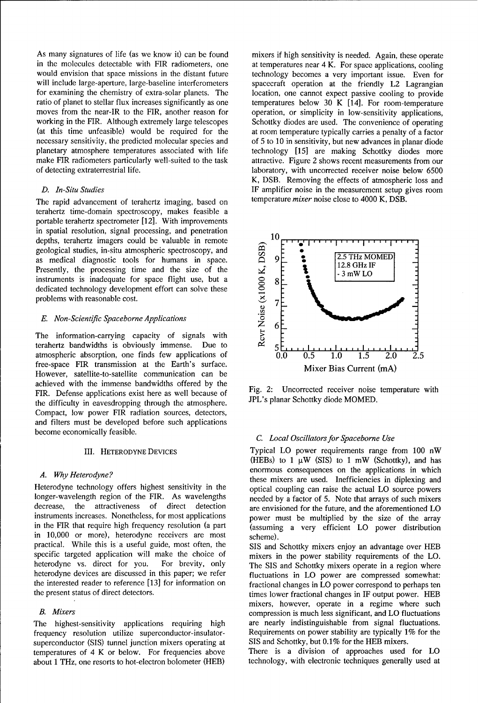As many signatures of life (as we know it) can be found mixers if high sensitivity is needed. Again, these operate in the molecules detectable with FIR radiometers, one at temperatures near  $4 \text{ K}$ . For space applications, cooling would envision that space missions in the distant future technology becomes a very important issue. Even for will include large-aperture, large-baseline interferometers spacecraft operation at the friendly L2 Lagrangian for examining the chemistry of extra-solar planets. The location, one cannot expect passive cooling to provide ratio of planet to stellar flux increases significantly as one temperatures below 30 K [14]. For room-temperature moves from the near-IR to the FIR, another reason for operation, or simplicity in low-sensitivity applications, working in the FIR. Although extremely large telescopes Schottky diodes are used. The convenience of operating (at this time unfeasible) would be required for the at room temperature typically carries a penalty of a factor necessary sensitivity, the predicted molecular species and of 5 to 10 in sensitivity, but new advances in planar diode planetary atmosphere temperatures associated with life technology [15] are making Schottky diodes more make FIR radiometers particularly well-suited to the task attractive. Figure 2 shows recent measurements from our of detecting extraterrestrial life. laboratory, with uncorrected receiver noise below 6500

The rapid advancement of terahertz imaging, based on temperature *mixer* noise close to 4000 K, DSB. terahertz time-domain spectroscopy, makes feasible a portable terahertz spectrometer [12]. With improvements in spatial resolution, signal processing, and penetration depths, terahertz imagers could be valuable in remote<br>geological studies, in-situ atmospheric spectroscopy, and<br>as medical diagnostic tools for humans in space.<br>Presently, the processing time and the size of the<br>instrument geological studies, in-situ atmospheric spectroscopy, and  $\frac{1}{2.5 \text{ THz MOMED}}$ <br>as medical diagnostic tools for humans in space  $\frac{1}{2.5 \text{ THz MOMED}}$ as medical diagnostic tools for humans in space.  $\overrightarrow{A}$   $\overrightarrow{9}$  **12.8**  $\overrightarrow{CHz}$  MO Presently, the processing time and the size of the instruments is inadequate for space flight use, but a  $\leq$  **8** dedicated technology development effort can solve these problems with reasonable cost.

## *E. Non-Scientific Spaceborne Applications*  $\begin{bmatrix} 6 & 6 \\ 2 & 6 \end{bmatrix}$

The information-carrying capacity of signals with terahertz bandwidths is obviously immense. Due to atmospheric absorption, one finds few applications of  $\overline{0.0}$   $\overline{0.5}$   $\overline{1.0}$   $\overline{1.5}$   $\overline{2.0}$   $\overline{2.5}$ free-space FIR transmission at the Earth's surface. Mixer Bias Current (mA) However, satellite-to-satellite communication can be achieved with the immense bandwidths offered by the FIR. Defense applications exist here as well because of Fig. 2: Uncorrected receiver noise temperature with the difficulty in equasicopping through the atmosphere JPL's planar Schottky diode MOMED. the difficulty in eavesdropping through the atmosphere. Compact, low power FIR radiation sources, detectors, and filters must be developed before such applications<br>become economically feasible.<br>*C. Local Oscillators for Spaceborne Use* 

Heterodyne technology offers highest sensitivity in the optical coupling can raise the actual LO source powers longer-wavelength region of the FIR. As wavelengths needed by a factor of 5. Note that arrays of such mixers decrease, the attractiveness of direct detection are envisioned for the future, and the aforementioned LO instruments increases. Nonetheless, for most applications power must be multiplied by the size of the array in the FIR that require high frequency resolution (a part (assuming a very efficient LO power distribution in 10,000 or more), heterodyne receivers are most scheme). practical. While this is a useful guide, most often, the SIS and Schottky mixers enjoy an advantage over HEB specific targeted application will make the choice of mixers in the power stability requirements of the LO. heterodyne vs. direct for you. For brevity, only The **SIS** and Schottky mixers operate in a region where heterodyne devices are discussed in this paper; we refer fluctuations in LO power are compressed somewhat: the interested reader to reference [13] for information on fractional changes in LO power correspond to perhaps ten

frequency resolution utilize superconductor-insulator- Requirements on power stability are typically 1% for the superconductor (SIS) tunnel junction mixers operating at **SIS** and Schottky, but 0.1% for the HEB mixers. temperatures of 4 K or below. For frequencies above There is a division of approaches used for LO about 1 THz, one resorts to hot-electron bolometer (HEB) technology, with electronic techniques generally used at

K, DSB. Removing the effects of atmospheric loss and *D. In-Situ Studies* IF amplifier noise in the measurement setup gives room



III. HETERODYNE DEVICES Typical LO power requirements range from 100 nW (HEBs) to  $1 \mu W$  (SIS) to  $1 \mu W$  (Schottky), and has *A. Why Heterodyne?* enormous consequences on the applications in which the applications in which the applications in which the applications of the applications of the application of the application of the application of t these mixers are used. Inefficiencies in diplexing and

the present status of direct detectors. the status of direct detectors, the status of direct detectors, the status of direct detectors. mixers, however, operate in a regime where such *B. Mixers* compression is much less significant, and LO fluctuations The highest-sensitivity applications requiring high are nearly indistinguishable from signal fluctuations.